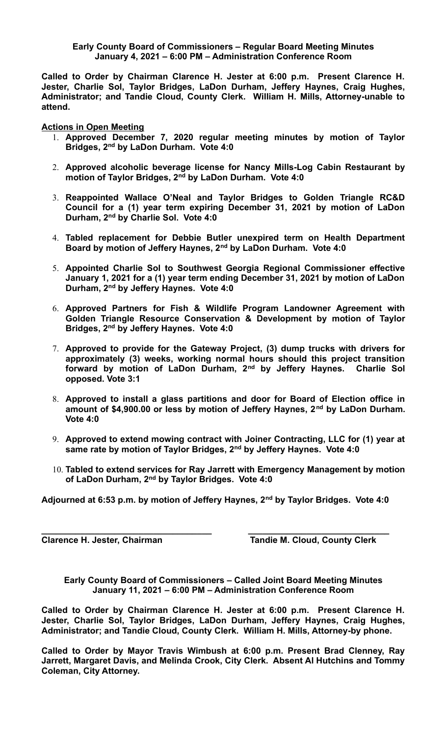## **Early County Board of Commissioners – Regular Board Meeting Minutes January 4, 2021 – 6:00 PM – Administration Conference Room**

**Called to Order by Chairman Clarence H. Jester at 6:00 p.m. Present Clarence H. Jester, Charlie Sol, Taylor Bridges, LaDon Durham, Jeffery Haynes, Craig Hughes, Administrator; and Tandie Cloud, County Clerk. William H. Mills, Attorney-unable to attend.**

**Actions in Open Meeting**

- 1. **Approved December 7, 2020 regular meeting minutes by motion of Taylor Bridges, 2nd by LaDon Durham. Vote 4:0**
- 2. **Approved alcoholic beverage license for Nancy Mills-Log Cabin Restaurant by motion of Taylor Bridges, 2nd by LaDon Durham. Vote 4:0**
- 3. **Reappointed Wallace O'Neal and Taylor Bridges to Golden Triangle RC&D Council for a (1) year term expiring December 31, 2021 by motion of LaDon Durham, 2nd by Charlie Sol. Vote 4:0**
- 4. **Tabled replacement for Debbie Butler unexpired term on Health Department Board by motion of Jeffery Haynes, 2nd by LaDon Durham. Vote 4:0**
- 5. **Appointed Charlie Sol to Southwest Georgia Regional Commissioner effective January 1, 2021 for a (1) year term ending December 31, 2021 by motion of LaDon Durham, 2nd by Jeffery Haynes. Vote 4:0**
- 6. **Approved Partners for Fish & Wildlife Program Landowner Agreement with Golden Triangle Resource Conservation & Development by motion of Taylor Bridges, 2nd by Jeffery Haynes. Vote 4:0**
- 7. **Approved to provide for the Gateway Project, (3) dump trucks with drivers for approximately (3) weeks, working normal hours should this project transition forward by motion of LaDon Durham, 2nd by Jeffery Haynes. Charlie Sol opposed. Vote 3:1**
- 8. **Approved to install a glass partitions and door for Board of Election office in amount of \$4,900.00 or less by motion of Jeffery Haynes, 2nd by LaDon Durham. Vote 4:0**
- 9. **Approved to extend mowing contract with Joiner Contracting, LLC for (1) year at same rate by motion of Taylor Bridges, 2nd by Jeffery Haynes. Vote 4:0**
- 10. **Tabled to extend services for Ray Jarrett with Emergency Management by motion of LaDon Durham, 2nd by Taylor Bridges. Vote 4:0**

**Adjourned at 6:53 p.m. by motion of Jeffery Haynes, 2nd by Taylor Bridges. Vote 4:0**

**\_\_\_\_\_\_\_\_\_\_\_\_\_\_\_\_\_\_\_\_\_\_\_\_\_\_\_\_\_\_\_\_\_\_\_ \_\_\_\_\_\_\_\_\_\_\_\_\_\_\_\_\_\_\_\_\_\_\_\_\_\_\_\_\_**

**Clarence H. Jester, Chairman Tandie M. Cloud, County Clerk** 

**Early County Board of Commissioners – Called Joint Board Meeting Minutes January 11, 2021 – 6:00 PM – Administration Conference Room**

**Called to Order by Chairman Clarence H. Jester at 6:00 p.m. Present Clarence H. Jester, Charlie Sol, Taylor Bridges, LaDon Durham, Jeffery Haynes, Craig Hughes, Administrator; and Tandie Cloud, County Clerk. William H. Mills, Attorney-by phone.**

**Called to Order by Mayor Travis Wimbush at 6:00 p.m. Present Brad Clenney, Ray Jarrett, Margaret Davis, and Melinda Crook, City Clerk. Absent Al Hutchins and Tommy Coleman, City Attorney.**